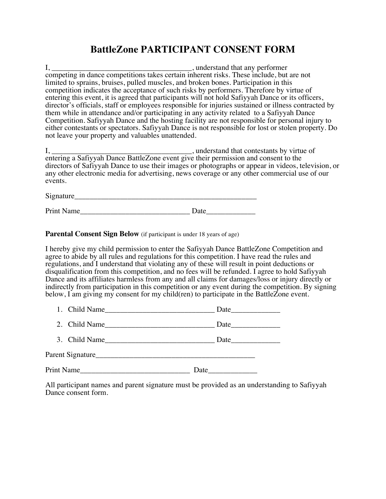# **BattleZone PARTICIPANT CONSENT FORM**

I, \_\_\_\_\_\_\_\_\_\_\_\_\_\_\_\_\_\_\_\_\_\_\_\_\_\_\_\_\_\_\_\_\_\_\_\_\_, understand that any performer competing in dance competitions takes certain inherent risks. These include, but are not limited to sprains, bruises, pulled muscles, and broken bones. Participation in this competition indicates the acceptance of such risks by performers. Therefore by virtue of entering this event, it is agreed that participants will not hold Safiyyah Dance or its officers, director's officials, staff or employees responsible for injuries sustained or illness contracted by them while in attendance and/or participating in any activity related to a Safiyyah Dance Competition. Safiyyah Dance and the hosting facility are not responsible for personal injury to either contestants or spectators. Safiyyah Dance is not responsible for lost or stolen property. Do not leave your property and valuables unattended.

I, \_\_\_\_\_\_\_\_\_\_\_\_\_\_\_\_\_\_\_\_\_\_\_\_\_\_\_\_\_\_\_\_\_\_\_\_\_, understand that contestants by virtue of entering a Safiyyah Dance BattleZone event give their permission and consent to the directors of Safiyyah Dance to use their images or photographs or appear in videos, television, or any other electronic media for advertising, news coverage or any other commercial use of our events.

Signature\_\_\_\_\_\_\_\_\_\_\_\_\_\_\_\_\_\_\_\_\_\_\_\_\_\_\_\_\_\_\_\_\_\_\_\_\_\_\_\_\_\_\_\_\_\_\_\_

Print Name Date

**Parental Consent Sign Below** (if participant is under 18 years of age)

I hereby give my child permission to enter the Safiyyah Dance BattleZone Competition and agree to abide by all rules and regulations for this competition. I have read the rules and regulations, and I understand that violating any of these will result in point deductions or disqualification from this competition, and no fees will be refunded. I agree to hold Safiyyah Dance and its affiliates harmless from any and all claims for damages/loss or injury directly or indirectly from participation in this competition or any event during the competition. By signing below, I am giving my consent for my child(ren) to participate in the BattleZone event.

| ., | `hild<br>Name<br>$\sim$ |  |
|----|-------------------------|--|
|    |                         |  |

| $\sim$<br>- | ٦Ъ٠<br>ТC<br>ne<br>- | . . |
|-------------|----------------------|-----|
|             |                      |     |

3. Child Name\_\_\_\_\_\_\_\_\_\_\_\_\_\_\_\_\_\_\_\_\_\_\_\_\_\_\_\_\_ Date\_\_\_\_\_\_\_\_\_\_\_\_\_

Parent Signature\_\_\_\_\_\_\_\_\_\_\_\_\_\_\_\_\_\_\_\_\_\_\_\_\_\_\_\_\_\_\_\_\_\_\_\_\_\_\_\_\_\_

Print Name Date

All participant names and parent signature must be provided as an understanding to Safiyyah Dance consent form.